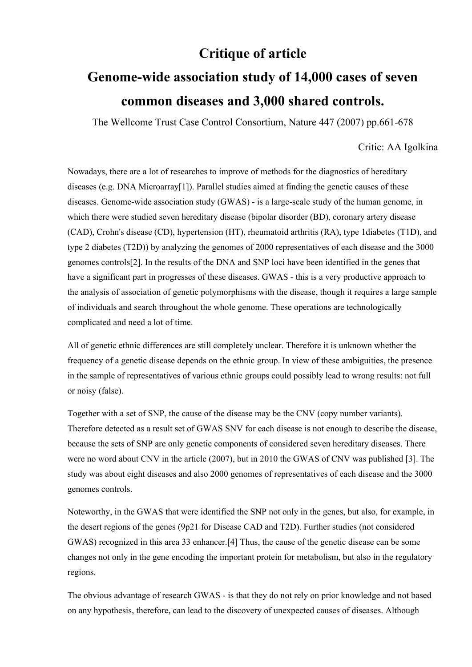## **Critique of article**

## **Genome-wide association study of 14,000 cases of seven common diseases and 3,000 shared controls.**

The Wellcome Trust Case Control Consortium, Nature 447 (2007) pp.661-678

## Critic: AA Igolkina

Nowadays, there are a lot of researches to improve of methods for the diagnostics of hereditary diseases (e.g. DNA Microarray[1]). Parallel studies aimed at finding the genetic causes of these diseases. Genome-wide association study (GWAS) - is a large-scale study of the human genome, in which there were studied seven hereditary disease (bipolar disorder (BD), coronary artery disease (CAD), Crohn's disease (CD), hypertension (HT), rheumatoid arthritis (RA), type 1diabetes (T1D), and type 2 diabetes (T2D)) by analyzing the genomes of 2000 representatives of each disease and the 3000 genomes controls[2]. In the results of the DNA and SNP loci have been identified in the genes that have a significant part in progresses of these diseases. GWAS - this is a very productive approach to the analysis of association of genetic polymorphisms with the disease, though it requires a large sample of individuals and search throughout the whole genome. These operations are technologically complicated and need a lot of time.

All of genetic ethnic differences are still completely unclear. Therefore it is unknown whether the frequency of a genetic disease depends on the ethnic group. In view of these ambiguities, the presence in the sample of representatives of various ethnic groups could possibly lead to wrong results: not full or noisy (false).

Together with a set of SNP, the cause of the disease may be the CNV (copy number variants). Therefore detected as a result set of GWAS SNV for each disease is not enough to describe the disease, because the sets of SNP are only genetic components of considered seven hereditary diseases. There were no word about CNV in the article (2007), but in 2010 the GWAS of CNV was published [3]. The study was about eight diseases and also 2000 genomes of representatives of each disease and the 3000 genomes controls.

Noteworthy, in the GWAS that were identified the SNP not only in the genes, but also, for example, in the desert regions of the genes (9p21 for Disease CAD and T2D). Further studies (not considered GWAS) recognized in this area 33 enhancer.[4] Thus, the cause of the genetic disease can be some changes not only in the gene encoding the important protein for metabolism, but also in the regulatory regions.

The obvious advantage of research GWAS - is that they do not rely on prior knowledge and not based on any hypothesis, therefore, can lead to the discovery of unexpected causes of diseases. Although